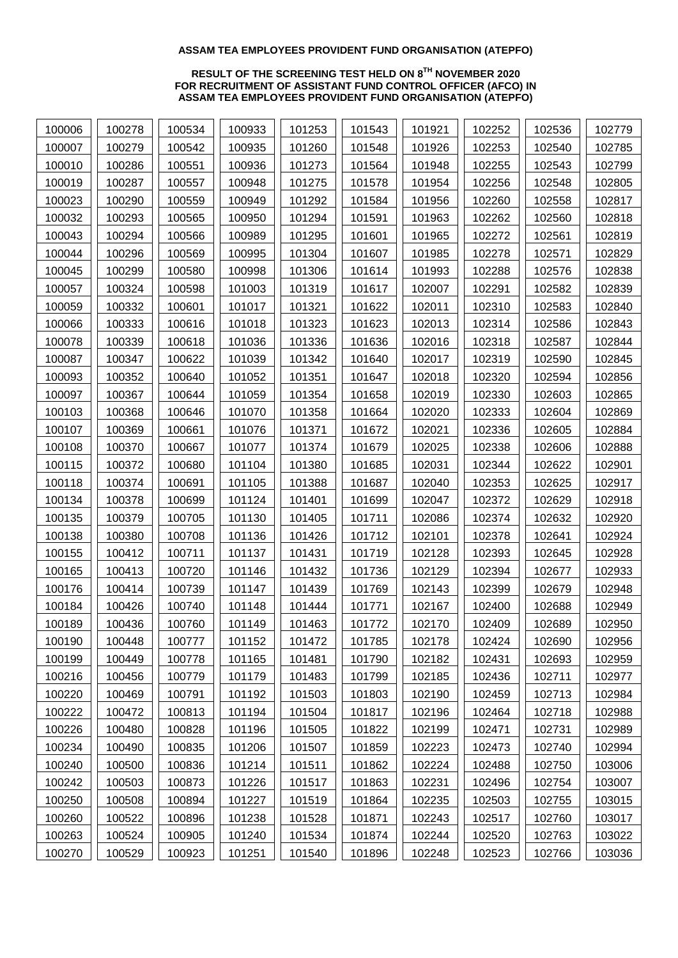## **ASSAM TEA EMPLOYEES PROVIDENT FUND ORGANISATION (ATEPFO)**

## **RESULT OF THE SCREENING TEST HELD ON 8 TH NOVEMBER 2020 FOR RECRUITMENT OF ASSISTANT FUND CONTROL OFFICER (AFCO) IN ASSAM TEA EMPLOYEES PROVIDENT FUND ORGANISATION (ATEPFO)**

| 100006 | 100278 | 100534 | 100933 | 101253 | 101543 | 101921 | 102252 | 102536 | 102779 |
|--------|--------|--------|--------|--------|--------|--------|--------|--------|--------|
| 100007 | 100279 | 100542 | 100935 | 101260 | 101548 | 101926 | 102253 | 102540 | 102785 |
| 100010 | 100286 | 100551 | 100936 | 101273 | 101564 | 101948 | 102255 | 102543 | 102799 |
| 100019 | 100287 | 100557 | 100948 | 101275 | 101578 | 101954 | 102256 | 102548 | 102805 |
| 100023 | 100290 | 100559 | 100949 | 101292 | 101584 | 101956 | 102260 | 102558 | 102817 |
| 100032 | 100293 | 100565 | 100950 | 101294 | 101591 | 101963 | 102262 | 102560 | 102818 |
| 100043 | 100294 | 100566 | 100989 | 101295 | 101601 | 101965 | 102272 | 102561 | 102819 |
| 100044 | 100296 | 100569 | 100995 | 101304 | 101607 | 101985 | 102278 | 102571 | 102829 |
| 100045 | 100299 | 100580 | 100998 | 101306 | 101614 | 101993 | 102288 | 102576 | 102838 |
| 100057 | 100324 | 100598 | 101003 | 101319 | 101617 | 102007 | 102291 | 102582 | 102839 |
| 100059 | 100332 | 100601 | 101017 | 101321 | 101622 | 102011 | 102310 | 102583 | 102840 |
| 100066 | 100333 | 100616 | 101018 | 101323 | 101623 | 102013 | 102314 | 102586 | 102843 |
| 100078 | 100339 | 100618 | 101036 | 101336 | 101636 | 102016 | 102318 | 102587 | 102844 |
| 100087 | 100347 | 100622 | 101039 | 101342 | 101640 | 102017 | 102319 | 102590 | 102845 |
| 100093 | 100352 | 100640 | 101052 | 101351 | 101647 | 102018 | 102320 | 102594 | 102856 |
| 100097 | 100367 | 100644 | 101059 | 101354 | 101658 | 102019 | 102330 | 102603 | 102865 |
| 100103 | 100368 | 100646 | 101070 | 101358 | 101664 | 102020 | 102333 | 102604 | 102869 |
| 100107 | 100369 | 100661 | 101076 | 101371 | 101672 | 102021 | 102336 | 102605 | 102884 |
| 100108 | 100370 | 100667 | 101077 | 101374 | 101679 | 102025 | 102338 | 102606 | 102888 |
| 100115 | 100372 | 100680 | 101104 | 101380 | 101685 | 102031 | 102344 | 102622 | 102901 |
| 100118 | 100374 | 100691 | 101105 | 101388 | 101687 | 102040 | 102353 | 102625 | 102917 |
| 100134 | 100378 | 100699 | 101124 | 101401 | 101699 | 102047 | 102372 | 102629 | 102918 |
| 100135 | 100379 | 100705 | 101130 | 101405 | 101711 | 102086 | 102374 | 102632 | 102920 |
| 100138 | 100380 | 100708 | 101136 | 101426 | 101712 | 102101 | 102378 | 102641 | 102924 |
| 100155 | 100412 | 100711 | 101137 | 101431 | 101719 | 102128 | 102393 | 102645 | 102928 |
| 100165 | 100413 | 100720 | 101146 | 101432 | 101736 | 102129 | 102394 | 102677 | 102933 |
| 100176 | 100414 | 100739 | 101147 | 101439 | 101769 | 102143 | 102399 | 102679 | 102948 |
| 100184 | 100426 | 100740 | 101148 | 101444 | 101771 | 102167 | 102400 | 102688 | 102949 |
| 100189 | 100436 | 100760 | 101149 | 101463 | 101772 | 102170 | 102409 | 102689 | 102950 |
| 100190 | 100448 | 100777 | 101152 | 101472 | 101785 | 102178 | 102424 | 102690 | 102956 |
| 100199 | 100449 | 100778 | 101165 | 101481 | 101790 | 102182 | 102431 | 102693 | 102959 |
| 100216 | 100456 | 100779 | 101179 | 101483 | 101799 | 102185 | 102436 | 102711 | 102977 |
| 100220 | 100469 | 100791 | 101192 | 101503 | 101803 | 102190 | 102459 | 102713 | 102984 |
| 100222 | 100472 | 100813 | 101194 | 101504 | 101817 | 102196 | 102464 | 102718 | 102988 |
| 100226 | 100480 | 100828 | 101196 | 101505 | 101822 | 102199 | 102471 | 102731 | 102989 |
| 100234 | 100490 | 100835 | 101206 | 101507 | 101859 | 102223 | 102473 | 102740 | 102994 |
| 100240 | 100500 | 100836 | 101214 | 101511 | 101862 | 102224 | 102488 | 102750 | 103006 |
| 100242 | 100503 | 100873 | 101226 | 101517 | 101863 | 102231 | 102496 | 102754 | 103007 |
| 100250 | 100508 | 100894 | 101227 | 101519 | 101864 | 102235 | 102503 | 102755 | 103015 |
| 100260 | 100522 | 100896 | 101238 | 101528 | 101871 | 102243 | 102517 | 102760 | 103017 |
| 100263 | 100524 | 100905 | 101240 | 101534 | 101874 | 102244 | 102520 | 102763 | 103022 |
| 100270 | 100529 | 100923 | 101251 | 101540 | 101896 | 102248 | 102523 | 102766 | 103036 |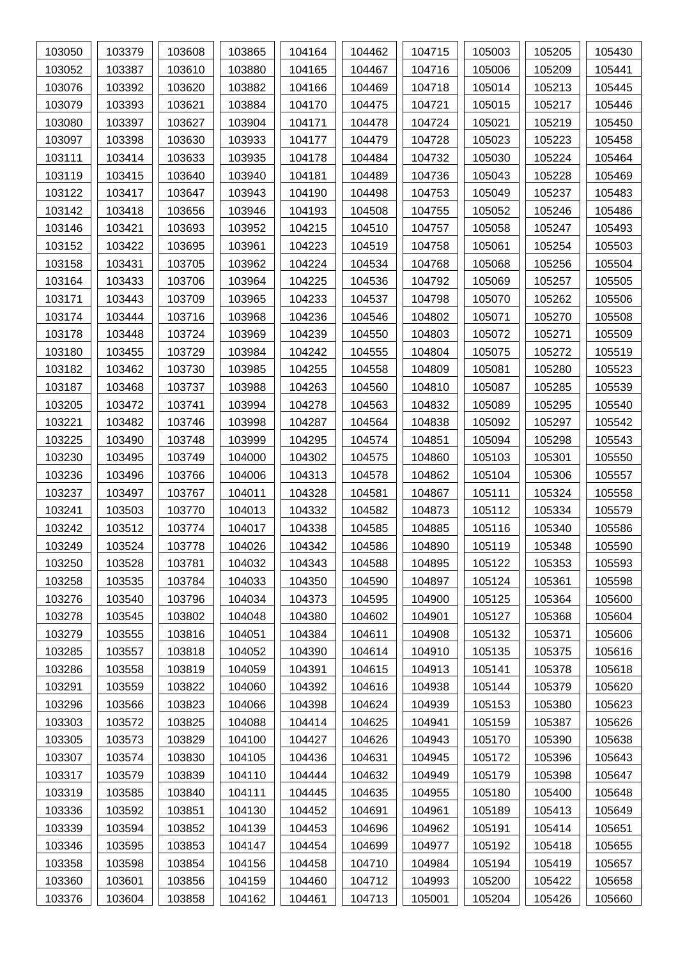| 103050 | 103379 | 103608 | 103865 | 104164 | 104462 | 104715 | 105003 | 105205 | 105430 |
|--------|--------|--------|--------|--------|--------|--------|--------|--------|--------|
| 103052 | 103387 | 103610 | 103880 | 104165 | 104467 | 104716 | 105006 | 105209 | 105441 |
| 103076 | 103392 | 103620 | 103882 | 104166 | 104469 | 104718 | 105014 | 105213 | 105445 |
| 103079 | 103393 | 103621 | 103884 | 104170 | 104475 | 104721 | 105015 | 105217 | 105446 |
| 103080 | 103397 | 103627 | 103904 | 104171 | 104478 | 104724 | 105021 | 105219 | 105450 |
| 103097 | 103398 | 103630 | 103933 | 104177 | 104479 | 104728 | 105023 | 105223 | 105458 |
| 103111 | 103414 | 103633 | 103935 | 104178 | 104484 | 104732 | 105030 | 105224 | 105464 |
| 103119 | 103415 | 103640 | 103940 | 104181 | 104489 | 104736 | 105043 | 105228 | 105469 |
| 103122 | 103417 | 103647 | 103943 | 104190 | 104498 | 104753 | 105049 | 105237 | 105483 |
| 103142 | 103418 | 103656 | 103946 | 104193 | 104508 | 104755 | 105052 | 105246 | 105486 |
| 103146 | 103421 | 103693 | 103952 | 104215 | 104510 | 104757 | 105058 | 105247 | 105493 |
| 103152 | 103422 | 103695 | 103961 | 104223 | 104519 | 104758 | 105061 | 105254 | 105503 |
| 103158 | 103431 | 103705 | 103962 | 104224 | 104534 | 104768 | 105068 | 105256 | 105504 |
| 103164 | 103433 | 103706 | 103964 | 104225 | 104536 | 104792 | 105069 | 105257 | 105505 |
| 103171 | 103443 | 103709 | 103965 | 104233 | 104537 | 104798 | 105070 | 105262 | 105506 |
| 103174 | 103444 | 103716 | 103968 | 104236 | 104546 | 104802 | 105071 | 105270 | 105508 |
| 103178 | 103448 | 103724 | 103969 | 104239 | 104550 | 104803 | 105072 | 105271 | 105509 |
| 103180 | 103455 | 103729 | 103984 | 104242 | 104555 | 104804 | 105075 | 105272 | 105519 |
| 103182 | 103462 | 103730 | 103985 | 104255 | 104558 | 104809 | 105081 | 105280 | 105523 |
| 103187 | 103468 | 103737 | 103988 | 104263 | 104560 | 104810 | 105087 | 105285 | 105539 |
| 103205 | 103472 | 103741 | 103994 | 104278 | 104563 | 104832 | 105089 | 105295 | 105540 |
| 103221 | 103482 | 103746 | 103998 | 104287 | 104564 | 104838 | 105092 | 105297 | 105542 |
| 103225 | 103490 | 103748 | 103999 | 104295 | 104574 | 104851 | 105094 | 105298 | 105543 |
| 103230 | 103495 | 103749 | 104000 | 104302 | 104575 | 104860 | 105103 | 105301 | 105550 |
| 103236 | 103496 | 103766 | 104006 | 104313 | 104578 | 104862 | 105104 | 105306 | 105557 |
| 103237 | 103497 | 103767 | 104011 | 104328 | 104581 | 104867 | 105111 | 105324 | 105558 |
| 103241 | 103503 | 103770 | 104013 | 104332 | 104582 | 104873 | 105112 | 105334 | 105579 |
| 103242 | 103512 | 103774 | 104017 | 104338 | 104585 | 104885 | 105116 | 105340 | 105586 |
| 103249 | 103524 | 103778 | 104026 | 104342 | 104586 | 104890 | 105119 | 105348 | 105590 |
| 103250 | 103528 | 103781 | 104032 | 104343 | 104588 | 104895 | 105122 | 105353 | 105593 |
| 103258 | 103535 | 103784 | 104033 | 104350 | 104590 | 104897 | 105124 | 105361 | 105598 |
| 103276 | 103540 | 103796 | 104034 | 104373 | 104595 | 104900 | 105125 | 105364 | 105600 |
| 103278 | 103545 | 103802 | 104048 | 104380 | 104602 | 104901 | 105127 | 105368 | 105604 |
| 103279 | 103555 | 103816 | 104051 | 104384 | 104611 | 104908 | 105132 | 105371 | 105606 |
| 103285 | 103557 | 103818 | 104052 | 104390 | 104614 | 104910 | 105135 | 105375 | 105616 |
| 103286 | 103558 | 103819 | 104059 | 104391 | 104615 | 104913 | 105141 | 105378 | 105618 |
| 103291 | 103559 | 103822 | 104060 | 104392 | 104616 | 104938 | 105144 | 105379 | 105620 |
| 103296 | 103566 | 103823 | 104066 | 104398 | 104624 | 104939 | 105153 | 105380 | 105623 |
| 103303 | 103572 | 103825 | 104088 | 104414 | 104625 | 104941 | 105159 | 105387 | 105626 |
| 103305 | 103573 | 103829 | 104100 | 104427 | 104626 | 104943 | 105170 | 105390 | 105638 |
| 103307 | 103574 | 103830 | 104105 | 104436 | 104631 | 104945 | 105172 | 105396 | 105643 |
| 103317 | 103579 | 103839 | 104110 | 104444 | 104632 | 104949 | 105179 | 105398 | 105647 |
| 103319 | 103585 | 103840 | 104111 | 104445 | 104635 | 104955 | 105180 | 105400 | 105648 |
| 103336 | 103592 | 103851 | 104130 | 104452 | 104691 | 104961 | 105189 | 105413 | 105649 |
| 103339 | 103594 | 103852 | 104139 | 104453 | 104696 | 104962 | 105191 | 105414 | 105651 |
| 103346 | 103595 | 103853 | 104147 | 104454 | 104699 | 104977 | 105192 | 105418 | 105655 |
| 103358 | 103598 | 103854 | 104156 | 104458 | 104710 | 104984 | 105194 | 105419 | 105657 |
| 103360 | 103601 | 103856 | 104159 | 104460 | 104712 | 104993 | 105200 | 105422 | 105658 |
| 103376 | 103604 | 103858 | 104162 | 104461 | 104713 | 105001 | 105204 | 105426 | 105660 |